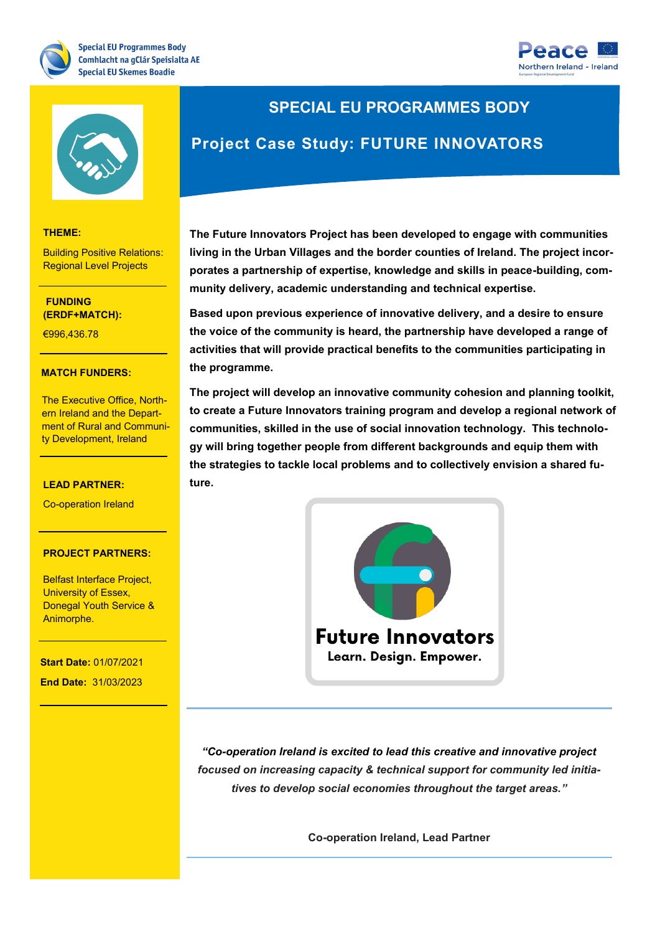





#### **THEME:**

Building Positive Relations: Regional Level Projects

**THEME: (ERDF+MATCH): FUNDING** 

Research and Innovation €996,436.78

### **MATCH FUNDERS:**

ment of Rural and Community Development, Ireland<br>. The Executive Office, Northern Ireland and the Depart-

Health & Life Sciences

### **LEAD PARTNER: LEAD PARTNER:**

Co-operation Ireland

### **PROJECT PARTNERS:**

Belfast Interface Project, **PROJECT CONTACT:** University of Essex, Donegal Youth Service & Animorphe.

**Start Date:** 01/07/2021 **End Date:** 31/03/2023

### **SPECIAL EU PROGRAMMES BODY**

## **Project Case Study: FUTURE INNOVATORS**

**The Future Innovators Project has been developed to engage with communities living in the Urban Villages and the border counties of Ireland. The project incorporates a partnership of expertise, knowledge and skills in peace-building, community delivery, academic understanding and technical expertise.** 

**Based upon previous experience of innovative delivery, and a desire to ensure the voice of the community is heard, the partnership have developed a range of activities that will provide practical benefits to the communities participating in the programme.** 

**The project will develop an innovative community cohesion and planning toolkit, to create a Future Innovators training program and develop a regional network of communities, skilled in the use of social innovation technology. This technology will bring together people from different backgrounds and equip them with the strategies to tackle local problems and to collectively envision a shared future.** 



*"Co-operation Ireland is excited to lead this creative and innovative project focused on increasing capacity & technical support for community led initiatives to develop social economies throughout the target areas."*

**Co-operation Ireland, Lead Partner**